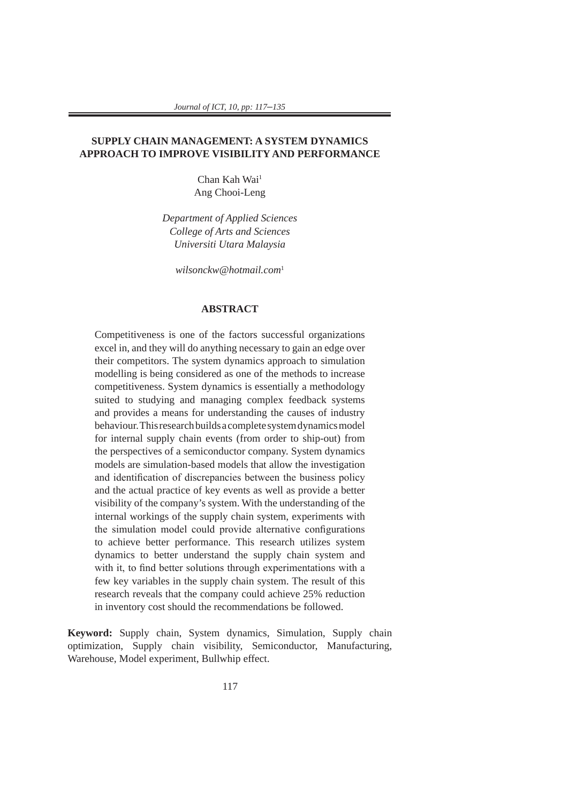# **SUPPLY CHAIN MANAGEMENT: A SYSTEM DYNAMICS APPROACH TO IMPROVE VISIBILITY AND PERFORMANCE**

Chan Kah Wai<sup>1</sup> Ang Chooi-Leng

*Department of Applied Sciences College of Arts and Sciences Universiti Utara Malaysia*

*wilsonckw@hotmail.com*<sup>1</sup>

## **ABSTRACT**

Competitiveness is one of the factors successful organizations excel in, and they will do anything necessary to gain an edge over their competitors. The system dynamics approach to simulation modelling is being considered as one of the methods to increase competitiveness. System dynamics is essentially a methodology suited to studying and managing complex feedback systems and provides a means for understanding the causes of industry behaviour. This research builds a complete system dynamics model for internal supply chain events (from order to ship-out) from the perspectives of a semiconductor company. System dynamics models are simulation-based models that allow the investigation and identification of discrepancies between the business policy and the actual practice of key events as well as provide a better visibility of the company's system. With the understanding of the internal workings of the supply chain system, experiments with the simulation model could provide alternative configurations to achieve better performance. This research utilizes system dynamics to better understand the supply chain system and with it, to find better solutions through experimentations with a few key variables in the supply chain system. The result of this research reveals that the company could achieve 25% reduction in inventory cost should the recommendations be followed.

**Keyword:** Supply chain, System dynamics, Simulation, Supply chain optimization, Supply chain visibility, Semiconductor, Manufacturing, Warehouse, Model experiment, Bullwhip effect.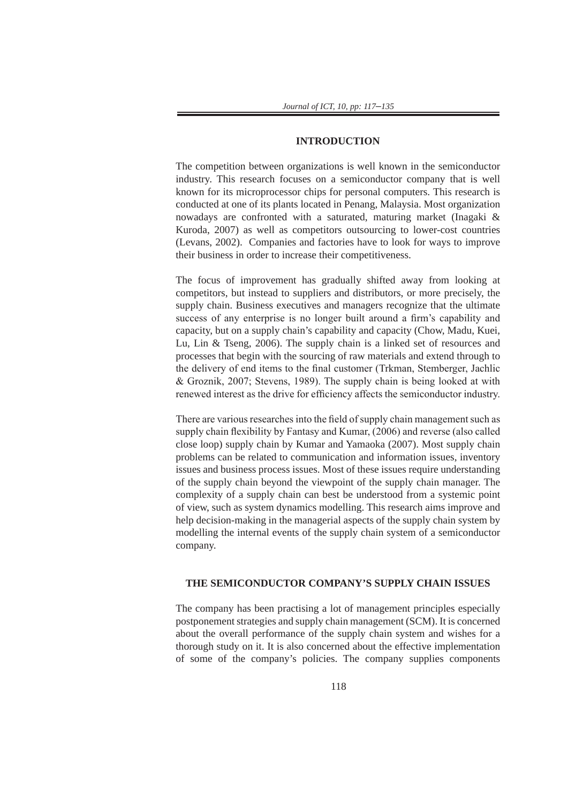#### **INTRODUCTION**

The competition between organizations is well known in the semiconductor industry. This research focuses on a semiconductor company that is well known for its microprocessor chips for personal computers. This research is conducted at one of its plants located in Penang, Malaysia. Most organization nowadays are confronted with a saturated, maturing market (Inagaki & Kuroda, 2007) as well as competitors outsourcing to lower-cost countries (Levans, 2002). Companies and factories have to look for ways to improve their business in order to increase their competitiveness.

The focus of improvement has gradually shifted away from looking at competitors, but instead to suppliers and distributors, or more precisely, the supply chain. Business executives and managers recognize that the ultimate success of any enterprise is no longer built around a firm's capability and capacity, but on a supply chain's capability and capacity (Chow, Madu, Kuei, Lu, Lin & Tseng, 2006). The supply chain is a linked set of resources and processes that begin with the sourcing of raw materials and extend through to the delivery of end items to the final customer (Trkman, Stemberger, Jachlic & Groznik, 2007; Stevens, 1989). The supply chain is being looked at with renewed interest as the drive for efficiency affects the semiconductor industry.

There are various researches into the field of supply chain management such as supply chain flexibility by Fantasy and Kumar, (2006) and reverse (also called close loop) supply chain by Kumar and Yamaoka (2007). Most supply chain problems can be related to communication and information issues, inventory issues and business process issues. Most of these issues require understanding of the supply chain beyond the viewpoint of the supply chain manager. The complexity of a supply chain can best be understood from a systemic point of view, such as system dynamics modelling. This research aims improve and help decision-making in the managerial aspects of the supply chain system by modelling the internal events of the supply chain system of a semiconductor company.

#### **THE SEMICONDUCTOR COMPANY'S SUPPLY CHAIN ISSUES**

The company has been practising a lot of management principles especially postponement strategies and supply chain management (SCM). It is concerned about the overall performance of the supply chain system and wishes for a thorough study on it. It is also concerned about the effective implementation of some of the company's policies. The company supplies components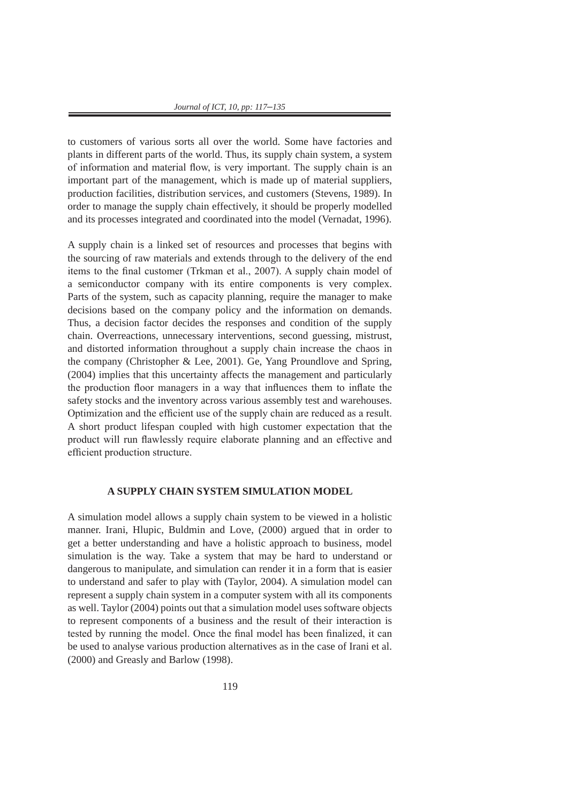to customers of various sorts all over the world. Some have factories and plants in different parts of the world. Thus, its supply chain system, a system of information and material flow, is very important. The supply chain is an important part of the management, which is made up of material suppliers, production facilities, distribution services, and customers (Stevens, 1989). In order to manage the supply chain effectively, it should be properly modelled and its processes integrated and coordinated into the model (Vernadat, 1996).

A supply chain is a linked set of resources and processes that begins with the sourcing of raw materials and extends through to the delivery of the end items to the final customer (Trkman et al., 2007). A supply chain model of a semiconductor company with its entire components is very complex. Parts of the system, such as capacity planning, require the manager to make decisions based on the company policy and the information on demands. Thus, a decision factor decides the responses and condition of the supply chain. Overreactions, unnecessary interventions, second guessing, mistrust, and distorted information throughout a supply chain increase the chaos in the company (Christopher & Lee, 2001). Ge, Yang Proundlove and Spring, (2004) implies that this uncertainty affects the management and particularly the production floor managers in a way that influences them to inflate the safety stocks and the inventory across various assembly test and warehouses. Optimization and the efficient use of the supply chain are reduced as a result. A short product lifespan coupled with high customer expectation that the product will run flawlessly require elaborate planning and an effective and efficient production structure.

#### **A SUPPLY CHAIN SYSTEM SIMULATION MODEL**

A simulation model allows a supply chain system to be viewed in a holistic manner. Irani, Hlupic, Buldmin and Love, (2000) argued that in order to get a better understanding and have a holistic approach to business, model simulation is the way. Take a system that may be hard to understand or dangerous to manipulate, and simulation can render it in a form that is easier to understand and safer to play with (Taylor, 2004). A simulation model can represent a supply chain system in a computer system with all its components as well. Taylor (2004) points out that a simulation model uses software objects to represent components of a business and the result of their interaction is tested by running the model. Once the final model has been finalized, it can be used to analyse various production alternatives as in the case of Irani et al. (2000) and Greasly and Barlow (1998).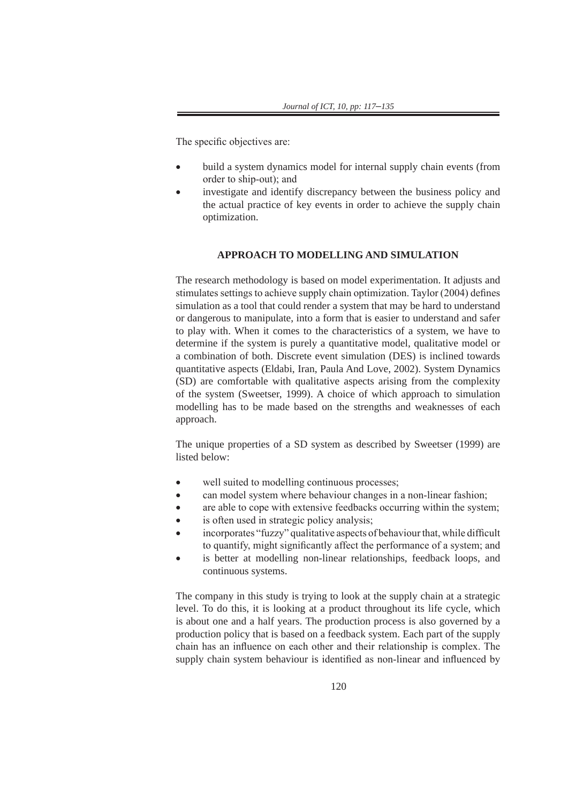The specific objectives are:

- build a system dynamics model for internal supply chain events (from order to ship-out); and
- investigate and identify discrepancy between the business policy and the actual practice of key events in order to achieve the supply chain optimization.

# **APPROACH TO MODELLING AND SIMULATION**

The research methodology is based on model experimentation. It adjusts and stimulates settings to achieve supply chain optimization. Taylor (2004) defines simulation as a tool that could render a system that may be hard to understand or dangerous to manipulate, into a form that is easier to understand and safer to play with. When it comes to the characteristics of a system, we have to determine if the system is purely a quantitative model, qualitative model or a combination of both. Discrete event simulation (DES) is inclined towards quantitative aspects (Eldabi, Iran, Paula And Love, 2002). System Dynamics (SD) are comfortable with qualitative aspects arising from the complexity of the system (Sweetser, 1999). A choice of which approach to simulation modelling has to be made based on the strengths and weaknesses of each approach.

The unique properties of a SD system as described by Sweetser (1999) are listed below:

- well suited to modelling continuous processes;
- can model system where behaviour changes in a non-linear fashion;
- are able to cope with extensive feedbacks occurring within the system;
- is often used in strategic policy analysis;
- incorporates "fuzzy" qualitative aspects of behaviour that, while difficult to quantify, might significantly affect the performance of a system; and
- is better at modelling non-linear relationships, feedback loops, and continuous systems.

The company in this study is trying to look at the supply chain at a strategic level. To do this, it is looking at a product throughout its life cycle, which is about one and a half years. The production process is also governed by a production policy that is based on a feedback system. Each part of the supply chain has an influence on each other and their relationship is complex. The supply chain system behaviour is identified as non-linear and influenced by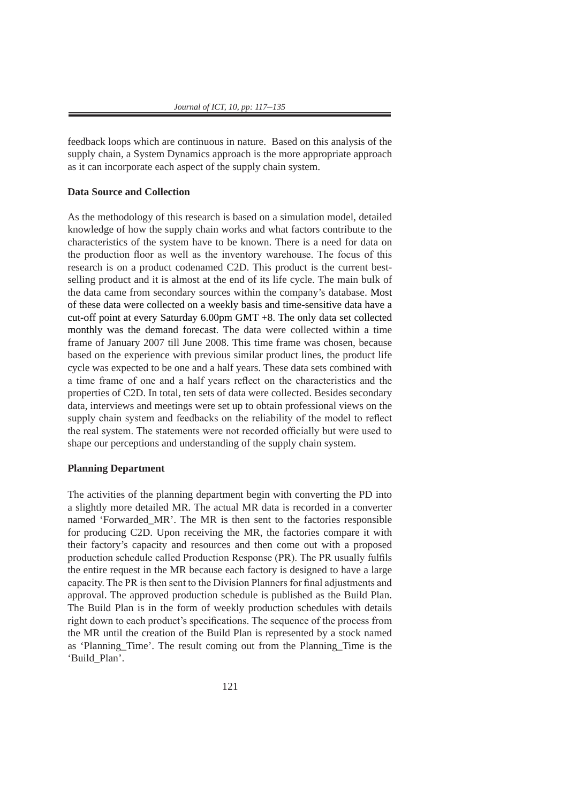feedback loops which are continuous in nature. Based on this analysis of the supply chain, a System Dynamics approach is the more appropriate approach as it can incorporate each aspect of the supply chain system.

#### **Data Source and Collection**

As the methodology of this research is based on a simulation model, detailed knowledge of how the supply chain works and what factors contribute to the characteristics of the system have to be known. There is a need for data on the production floor as well as the inventory warehouse. The focus of this research is on a product codenamed C2D. This product is the current bestselling product and it is almost at the end of its life cycle. The main bulk of the data came from secondary sources within the company's database. Most of these data were collected on a weekly basis and time-sensitive data have a cut-off point at every Saturday 6.00pm GMT +8. The only data set collected monthly was the demand forecast. The data were collected within a time frame of January 2007 till June 2008. This time frame was chosen, because based on the experience with previous similar product lines, the product life cycle was expected to be one and a half years. These data sets combined with a time frame of one and a half years reflect on the characteristics and the properties of C2D. In total, ten sets of data were collected. Besides secondary data, interviews and meetings were set up to obtain professional views on the supply chain system and feedbacks on the reliability of the model to reflect the real system. The statements were not recorded officially but were used to shape our perceptions and understanding of the supply chain system.

# **Planning Department**

The activities of the planning department begin with converting the PD into a slightly more detailed MR. The actual MR data is recorded in a converter named 'Forwarded\_MR'. The MR is then sent to the factories responsible for producing C2D. Upon receiving the MR, the factories compare it with their factory's capacity and resources and then come out with a proposed production schedule called Production Response (PR). The PR usually fulfils the entire request in the MR because each factory is designed to have a large capacity. The PR is then sent to the Division Planners for final adjustments and approval. The approved production schedule is published as the Build Plan. The Build Plan is in the form of weekly production schedules with details right down to each product's specifications. The sequence of the process from the MR until the creation of the Build Plan is represented by a stock named as 'Planning\_Time'. The result coming out from the Planning\_Time is the 'Build\_Plan'.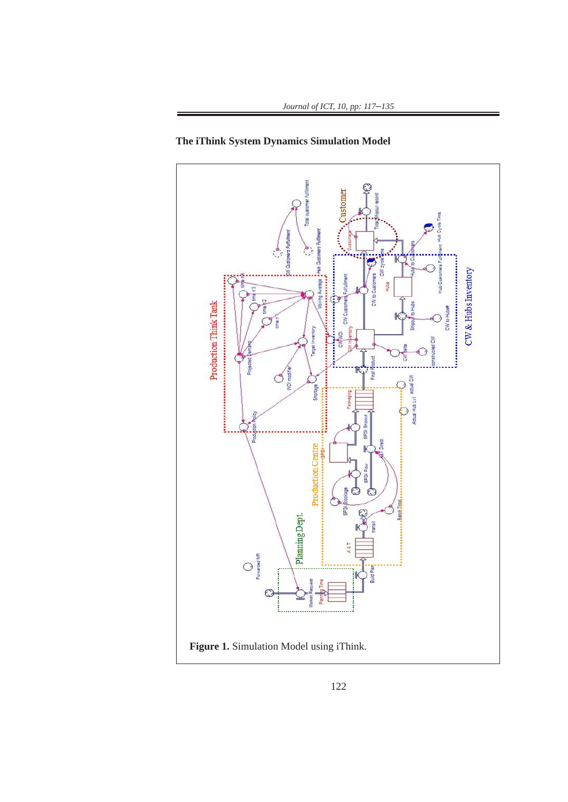

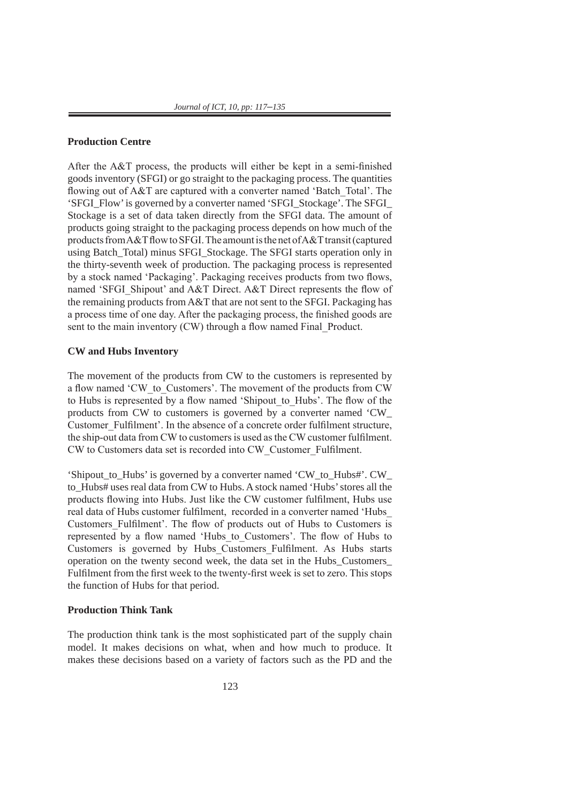### **Production Centre**

After the A&T process, the products will either be kept in a semi-finished goods inventory (SFGI) or go straight to the packaging process. The quantities flowing out of A&T are captured with a converter named 'Batch\_Total'. The 'SFGI\_Flow' is governed by a converter named 'SFGI\_Stockage'. The SFGI\_ Stockage is a set of data taken directly from the SFGI data. The amount of products going straight to the packaging process depends on how much of the products from A&T flow to SFGI. The amount is the net of A&T transit (captured using Batch\_Total) minus SFGI\_Stockage. The SFGI starts operation only in the thirty-seventh week of production. The packaging process is represented by a stock named 'Packaging'. Packaging receives products from two flows, named 'SFGI\_Shipout' and A&T Direct. A&T Direct represents the flow of the remaining products from A&T that are not sent to the SFGI. Packaging has a process time of one day. After the packaging process, the finished goods are sent to the main inventory (CW) through a flow named Final\_Product.

### **CW and Hubs Inventory**

The movement of the products from CW to the customers is represented by a flow named 'CW\_to\_Customers'. The movement of the products from CW to Hubs is represented by a flow named 'Shipout\_to\_Hubs'. The flow of the products from CW to customers is governed by a converter named 'CW\_ Customer Fulfilment'. In the absence of a concrete order fulfilment structure, the ship-out data from CW to customers is used as the CW customer fulfilment. CW to Customers data set is recorded into CW\_Customer\_Fulfilment.

'Shipout\_to\_Hubs' is governed by a converter named 'CW\_to\_Hubs#'. CW\_ to\_Hubs# uses real data from CW to Hubs. A stock named 'Hubs' stores all the products flowing into Hubs. Just like the CW customer fulfilment, Hubs use real data of Hubs customer fulfilment, recorded in a converter named 'Hubs\_ Customers\_Fulfilment'. The flow of products out of Hubs to Customers is represented by a flow named 'Hubs to Customers'. The flow of Hubs to Customers is governed by Hubs\_Customers\_Fulfilment. As Hubs starts operation on the twenty second week, the data set in the Hubs\_Customers\_ Fulfilment from the first week to the twenty-first week is set to zero. This stops the function of Hubs for that period.

### **Production Think Tank**

The production think tank is the most sophisticated part of the supply chain model. It makes decisions on what, when and how much to produce. It makes these decisions based on a variety of factors such as the PD and the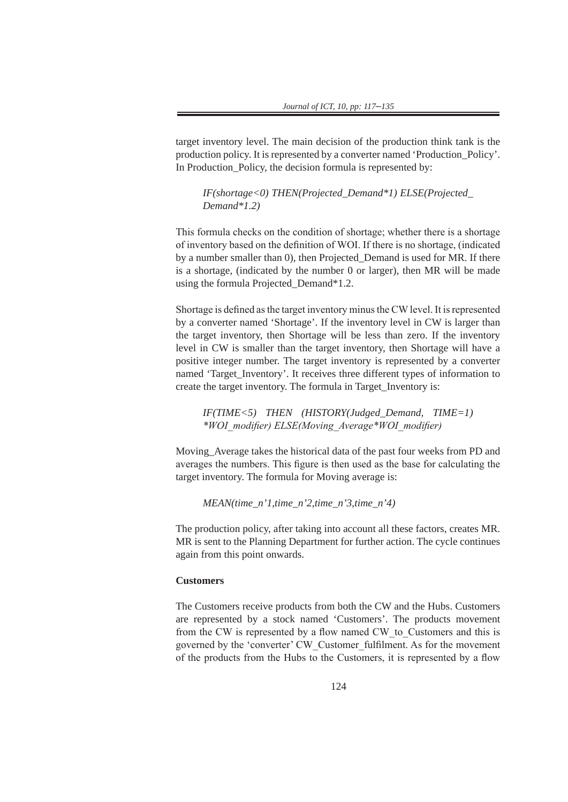target inventory level. The main decision of the production think tank is the production policy. It is represented by a converter named 'Production\_Policy'. In Production\_Policy, the decision formula is represented by:

*IF(shortage<0) THEN(Projected\_Demand\*1) ELSE(Projected\_ Demand\*1.2)*

This formula checks on the condition of shortage; whether there is a shortage of inventory based on the definition of WOI. If there is no shortage, (indicated by a number smaller than 0), then Projected\_Demand is used for MR. If there is a shortage, (indicated by the number 0 or larger), then MR will be made using the formula Projected\_Demand\*1.2.

Shortage is defined as the target inventory minus the CW level. It is represented by a converter named 'Shortage'. If the inventory level in CW is larger than the target inventory, then Shortage will be less than zero. If the inventory level in CW is smaller than the target inventory, then Shortage will have a positive integer number. The target inventory is represented by a converter named 'Target\_Inventory'. It receives three different types of information to create the target inventory. The formula in Target\_Inventory is:

*IF(TIME<5) THEN (HISTORY(Judged\_Demand, TIME=1) \*WOI\_modifier) ELSE(Moving\_Average\*WOI\_modifier)*

Moving\_Average takes the historical data of the past four weeks from PD and averages the numbers. This figure is then used as the base for calculating the target inventory. The formula for Moving average is:

*MEAN(time\_n'1,time\_n'2,time\_n'3,time\_n'4)*

The production policy, after taking into account all these factors, creates MR. MR is sent to the Planning Department for further action. The cycle continues again from this point onwards.

## **Customers**

The Customers receive products from both the CW and the Hubs. Customers are represented by a stock named 'Customers'. The products movement from the CW is represented by a flow named CW\_to\_Customers and this is governed by the 'converter' CW\_Customer\_fulfilment. As for the movement of the products from the Hubs to the Customers, it is represented by a flow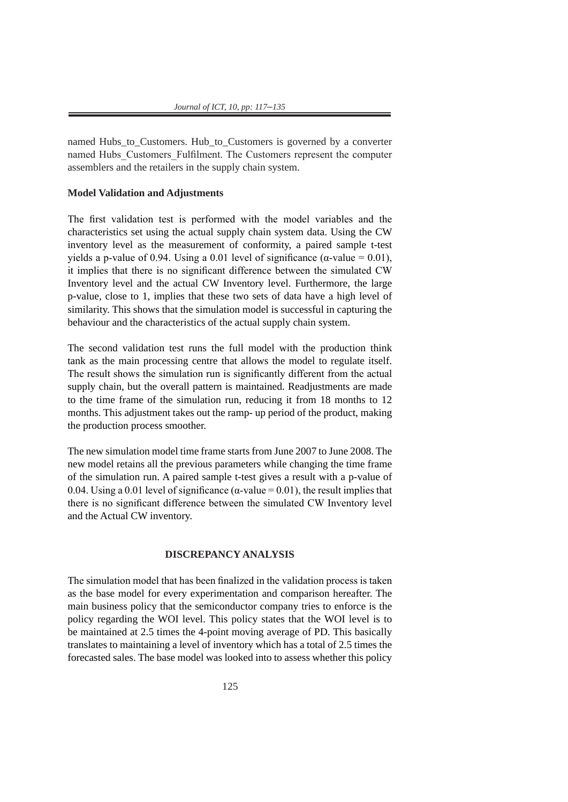named Hubs to Customers. Hub to Customers is governed by a converter named Hubs\_Customers\_Fulfilment. The Customers represent the computer assemblers and the retailers in the supply chain system.

## **Model Validation and Adjustments**

The first validation test is performed with the model variables and the characteristics set using the actual supply chain system data. Using the CW inventory level as the measurement of conformity, a paired sample t-test yields a p-value of 0.94. Using a 0.01 level of significance (α-value = 0.01), it implies that there is no significant difference between the simulated CW Inventory level and the actual CW Inventory level. Furthermore, the large p-value, close to 1, implies that these two sets of data have a high level of similarity. This shows that the simulation model is successful in capturing the behaviour and the characteristics of the actual supply chain system.

The second validation test runs the full model with the production think tank as the main processing centre that allows the model to regulate itself. The result shows the simulation run is significantly different from the actual supply chain, but the overall pattern is maintained. Readjustments are made to the time frame of the simulation run, reducing it from 18 months to 12 months. This adjustment takes out the ramp- up period of the product, making the production process smoother.

The new simulation model time frame starts from June 2007 to June 2008. The new model retains all the previous parameters while changing the time frame of the simulation run. A paired sample t-test gives a result with a p-value of 0.04. Using a 0.01 level of significance ( $\alpha$ -value = 0.01), the result implies that there is no significant difference between the simulated CW Inventory level and the Actual CW inventory.

#### **DISCREPANCY ANALYSIS**

The simulation model that has been finalized in the validation process is taken as the base model for every experimentation and comparison hereafter. The main business policy that the semiconductor company tries to enforce is the policy regarding the WOI level. This policy states that the WOI level is to be maintained at 2.5 times the 4-point moving average of PD. This basically translates to maintaining a level of inventory which has a total of 2.5 times the forecasted sales. The base model was looked into to assess whether this policy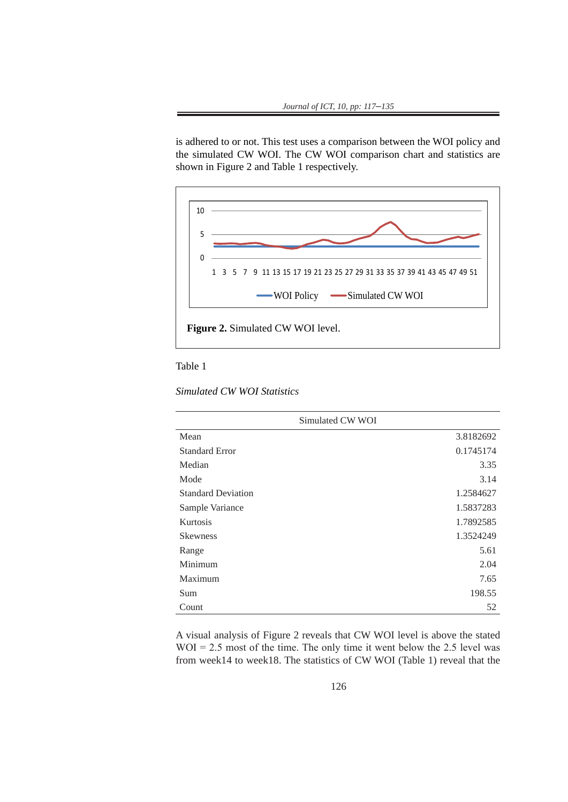is adhered to or not. This test uses a comparison between the WOI policy and the simulated CW WOI. The CW WOI comparison chart and statistics are shown in Figure 2 and Table 1 respectively.



Table 1

*Simulated CW WOI Statistics*

| Simulated CW WOI          |           |  |
|---------------------------|-----------|--|
| Mean                      | 3.8182692 |  |
| <b>Standard Error</b>     | 0.1745174 |  |
| Median                    | 3.35      |  |
| Mode                      | 3.14      |  |
| <b>Standard Deviation</b> | 1.2584627 |  |
| Sample Variance           | 1.5837283 |  |
| Kurtosis                  | 1.7892585 |  |
| <b>Skewness</b>           | 1.3524249 |  |
| Range                     | 5.61      |  |
| Minimum                   | 2.04      |  |
| Maximum                   | 7.65      |  |
| Sum                       | 198.55    |  |
| Count                     | 52        |  |

A visual analysis of Figure 2 reveals that CW WOI level is above the stated  $WOI = 2.5$  most of the time. The only time it went below the 2.5 level was from week14 to week18. The statistics of CW WOI (Table 1) reveal that the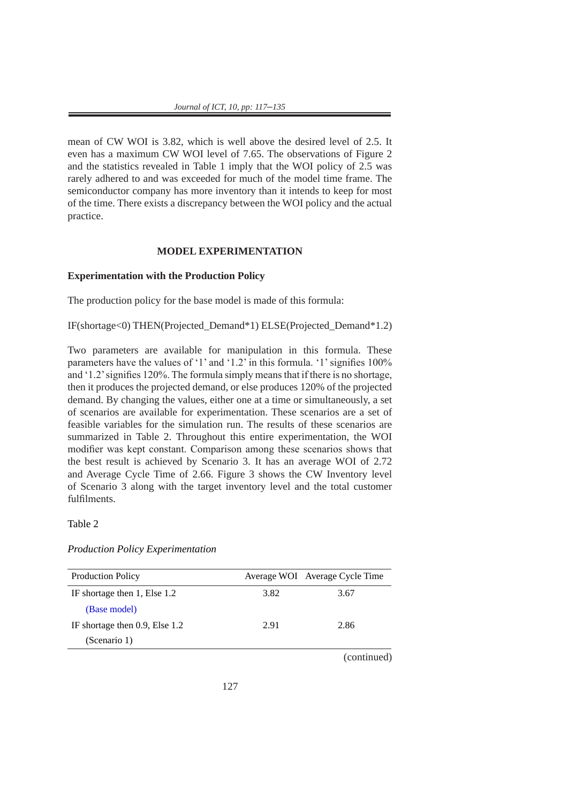mean of CW WOI is 3.82, which is well above the desired level of 2.5. It even has a maximum CW WOI level of 7.65. The observations of Figure 2 and the statistics revealed in Table 1 imply that the WOI policy of 2.5 was rarely adhered to and was exceeded for much of the model time frame. The semiconductor company has more inventory than it intends to keep for most of the time. There exists a discrepancy between the WOI policy and the actual practice.

### **MODEL EXPERIMENTATION**

# **Experimentation with the Production Policy**

The production policy for the base model is made of this formula:

IF(shortage<0) THEN(Projected\_Demand\*1) ELSE(Projected\_Demand\*1.2)

Two parameters are available for manipulation in this formula. These parameters have the values of '1' and '1.2' in this formula. '1' signifies 100% and '1.2' signifies 120%. The formula simply means that if there is no shortage, then it produces the projected demand, or else produces 120% of the projected demand. By changing the values, either one at a time or simultaneously, a set of scenarios are available for experimentation. These scenarios are a set of feasible variables for the simulation run. The results of these scenarios are summarized in Table 2. Throughout this entire experimentation, the WOI modifier was kept constant. Comparison among these scenarios shows that the best result is achieved by Scenario 3. It has an average WOI of 2.72 and Average Cycle Time of 2.66. Figure 3 shows the CW Inventory level of Scenario 3 along with the target inventory level and the total customer fulfilments.

Table 2

### *Production Policy Experimentation*

| <b>Production Policy</b>            |      | Average WOI Average Cycle Time |
|-------------------------------------|------|--------------------------------|
| IF shortage then 1, Else 1.2        | 3.82 | 3.67                           |
| (Base model)                        |      |                                |
| IF shortage then $0.9$ , Else $1.2$ | 2.91 | 2.86                           |
| (Scenario 1)                        |      |                                |
|                                     |      | $-$                            |

(continued)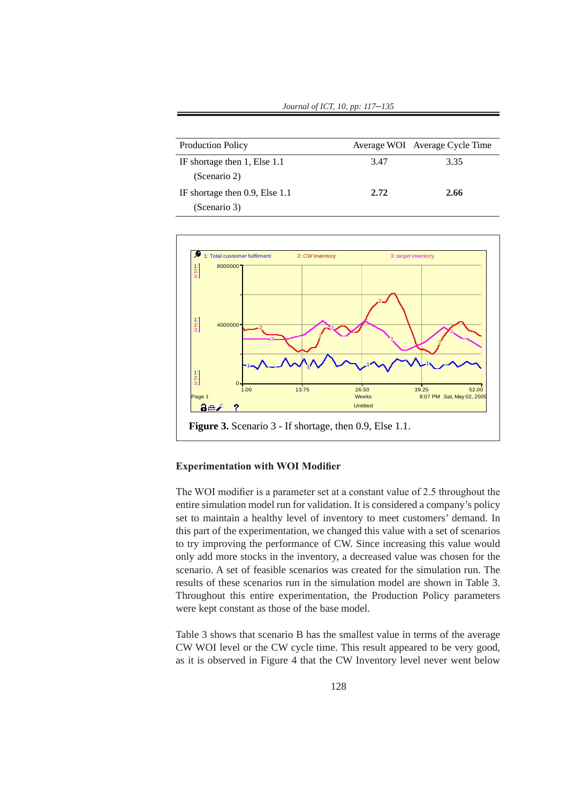| Journal of ICT, 10, pp: 117-135 |  |
|---------------------------------|--|
|---------------------------------|--|

| <b>Production Policy</b>       |      | Average WOI Average Cycle Time |
|--------------------------------|------|--------------------------------|
| IF shortage then 1, Else 1.1   | 3.47 | 3.35                           |
| (Scenario 2)                   |      |                                |
| IF shortage then 0.9, Else 1.1 | 2.72 | 2.66                           |
| (Scenario 3)                   |      |                                |



### **Experimentation with WOI Modifier**

The WOI modifier is a parameter set at a constant value of 2.5 throughout the entire simulation model run for validation. It is considered a company's policy set to maintain a healthy level of inventory to meet customers' demand. In this part of the experimentation, we changed this value with a set of scenarios to try improving the performance of CW. Since increasing this value would only add more stocks in the inventory, a decreased value was chosen for the scenario. A set of feasible scenarios was created for the simulation run. The results of these scenarios run in the simulation model are shown in Table 3. Throughout this entire experimentation, the Production Policy parameters were kept constant as those of the base model.

Table 3 shows that scenario B has the smallest value in terms of the average CW WOI level or the CW cycle time. This result appeared to be very good, as it is observed in Figure 4 that the CW Inventory level never went below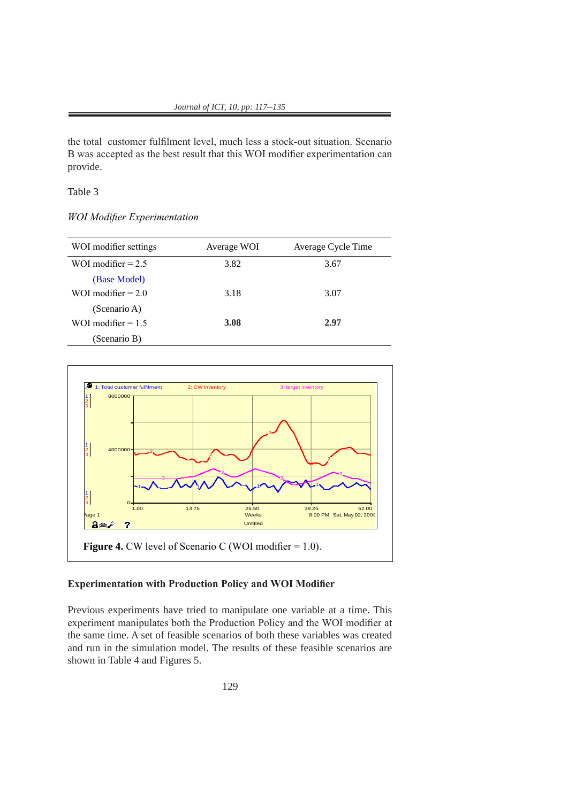the total customer fulfilment level, much less a stock-out situation. Scenario B was accepted as the best result that this WOI modifier experimentation can provide.

# Table 3

*WOI Modifier Experimentation*

| WOI modifier settings | Average WOI | Average Cycle Time |
|-----------------------|-------------|--------------------|
| WOI modifier $= 2.5$  | 3.82        | 3.67               |
| (Base Model)          |             |                    |
| WOI modifier $= 2.0$  | 3.18        | 3.07               |
| (Scenario A)          |             |                    |
| WOI modifier $= 1.5$  | 3.08        | 2.97               |
| (Scenario B)          |             |                    |



## **Experimentation with Production Policy and WOI Modifier**

Previous experiments have tried to manipulate one variable at a time. This experiment manipulates both the Production Policy and the WOI modifier at the same time. A set of feasible scenarios of both these variables was created and run in the simulation model. The results of these feasible scenarios are shown in Table 4 and Figures 5.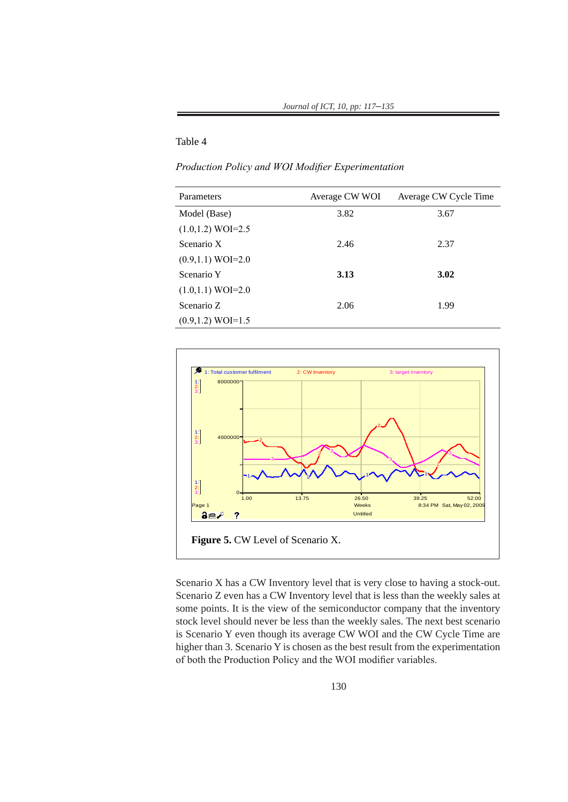# Table 4

*Production Policy and WOI Modifier Experimentation*

| Parameters             | Average CW WOI | Average CW Cycle Time |
|------------------------|----------------|-----------------------|
| Model (Base)           | 3.82           | 3.67                  |
| $(1.0, 1.2) WOI = 2.5$ |                |                       |
| Scenario X             | 2.46           | 2.37                  |
| $(0.9, 1.1) WOI = 2.0$ |                |                       |
| Scenario Y             | 3.13           | 3.02                  |
| $(1.0, 1.1) WOI = 2.0$ |                |                       |
| Scenario Z             | 2.06           | 1.99                  |
| $(0.9, 1.2) WOI = 1.5$ |                |                       |



Scenario X has a CW Inventory level that is very close to having a stock-out. Scenario Z even has a CW Inventory level that is less than the weekly sales at some points. It is the view of the semiconductor company that the inventory stock level should never be less than the weekly sales. The next best scenario is Scenario Y even though its average CW WOI and the CW Cycle Time are higher than 3. Scenario Y is chosen as the best result from the experimentation of both the Production Policy and the WOI modifier variables.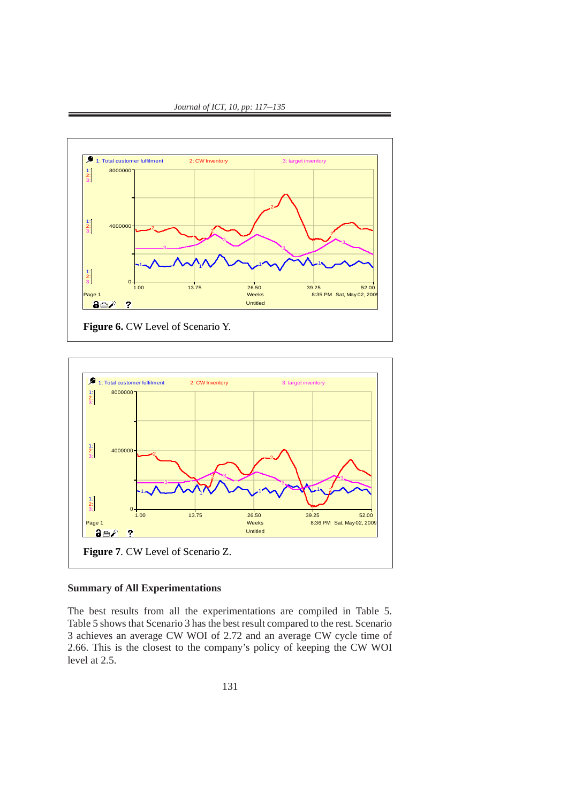

*Journal of ICT, 10, pp: 117*–*135*



# **Summary of All Experimentations**

The best results from all the experimentations are compiled in Table 5. Table 5 shows that Scenario 3 has the best result compared to the rest. Scenario 3 achieves an average CW WOI of 2.72 and an average CW cycle time of 2.66. This is the closest to the company's policy of keeping the CW WOI level at  $2.5$ .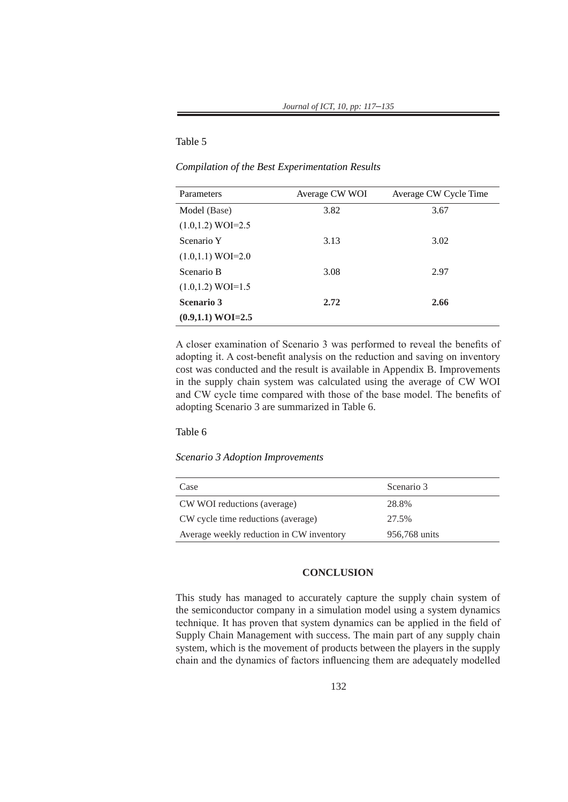# Table 5

*Compilation of the Best Experimentation Results*

| Parameters             | Average CW WOI | Average CW Cycle Time |
|------------------------|----------------|-----------------------|
| Model (Base)           | 3.82           | 3.67                  |
| $(1.0, 1.2) WOI = 2.5$ |                |                       |
| Scenario Y             | 3.13           | 3.02                  |
| $(1.0, 1.1) WOI = 2.0$ |                |                       |
| Scenario B             | 3.08           | 2.97                  |
| $(1.0, 1.2) WOI = 1.5$ |                |                       |
| <b>Scenario 3</b>      | 2.72           | 2.66                  |
| $(0.9,1.1) WOL=2.5$    |                |                       |

A closer examination of Scenario 3 was performed to reveal the benefits of adopting it. A cost-benefit analysis on the reduction and saving on inventory cost was conducted and the result is available in Appendix B. Improvements in the supply chain system was calculated using the average of CW WOI and CW cycle time compared with those of the base model. The benefits of adopting Scenario 3 are summarized in Table 6.

# Table 6

#### *Scenario 3 Adoption Improvements*

| Case                                     | Scenario 3    |
|------------------------------------------|---------------|
| CW WOI reductions (average)              | 28.8%         |
| CW cycle time reductions (average)       | 27.5%         |
| Average weekly reduction in CW inventory | 956,768 units |

### **CONCLUSION**

This study has managed to accurately capture the supply chain system of the semiconductor company in a simulation model using a system dynamics technique. It has proven that system dynamics can be applied in the field of Supply Chain Management with success. The main part of any supply chain system, which is the movement of products between the players in the supply chain and the dynamics of factors influencing them are adequately modelled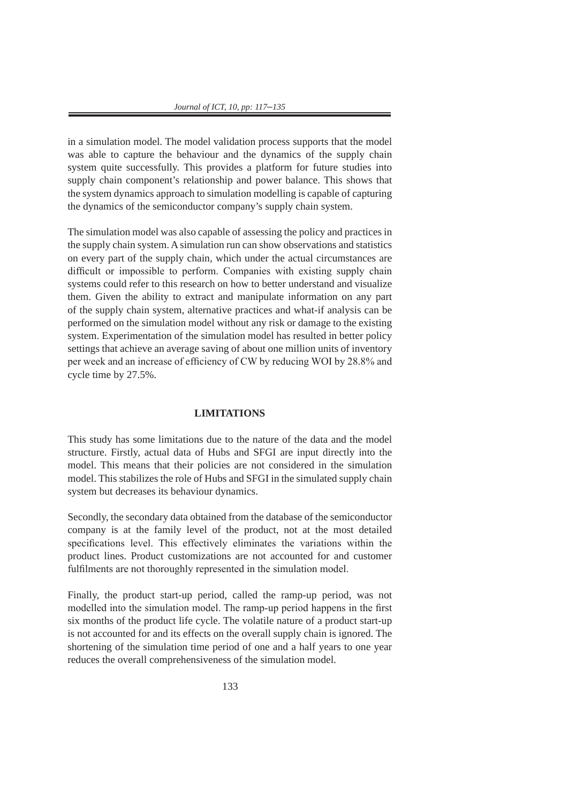in a simulation model. The model validation process supports that the model was able to capture the behaviour and the dynamics of the supply chain system quite successfully. This provides a platform for future studies into supply chain component's relationship and power balance. This shows that the system dynamics approach to simulation modelling is capable of capturing the dynamics of the semiconductor company's supply chain system.

The simulation model was also capable of assessing the policy and practices in the supply chain system. A simulation run can show observations and statistics on every part of the supply chain, which under the actual circumstances are difficult or impossible to perform. Companies with existing supply chain systems could refer to this research on how to better understand and visualize them. Given the ability to extract and manipulate information on any part of the supply chain system, alternative practices and what-if analysis can be performed on the simulation model without any risk or damage to the existing system. Experimentation of the simulation model has resulted in better policy settings that achieve an average saving of about one million units of inventory per week and an increase of efficiency of CW by reducing WOI by 28.8% and cycle time by 27.5%.

### **LIMITATIONS**

This study has some limitations due to the nature of the data and the model structure. Firstly, actual data of Hubs and SFGI are input directly into the model. This means that their policies are not considered in the simulation model. This stabilizes the role of Hubs and SFGI in the simulated supply chain system but decreases its behaviour dynamics.

Secondly, the secondary data obtained from the database of the semiconductor company is at the family level of the product, not at the most detailed specifications level. This effectively eliminates the variations within the product lines. Product customizations are not accounted for and customer fulfilments are not thoroughly represented in the simulation model.

Finally, the product start-up period, called the ramp-up period, was not modelled into the simulation model. The ramp-up period happens in the first six months of the product life cycle. The volatile nature of a product start-up is not accounted for and its effects on the overall supply chain is ignored. The shortening of the simulation time period of one and a half years to one year reduces the overall comprehensiveness of the simulation model.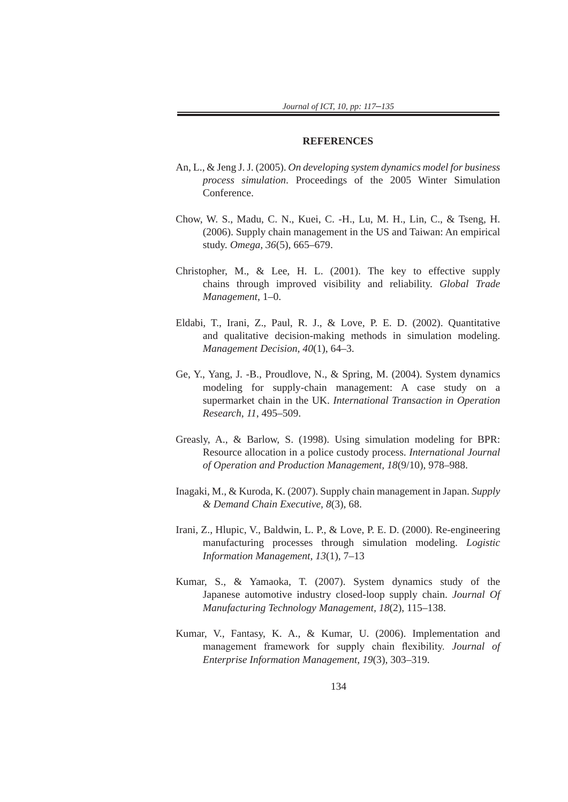#### **REFERENCES**

- An, L., & Jeng J. J. (2005). *On developing system dynamics model for business process simulation*. Proceedings of the 2005 Winter Simulation Conference.
- Chow, W. S., Madu, C. N., Kuei, C. -H., Lu, M. H., Lin, C., & Tseng, H. (2006). Supply chain management in the US and Taiwan: An empirical study. *Omega, 36*(5), 665–679.
- Christopher, M., & Lee, H. L. (2001). The key to effective supply chains through improved visibility and reliability. *Global Trade Management*, 1–0.
- Eldabi, T., Irani, Z., Paul, R. J., & Love, P. E. D. (2002). Quantitative and qualitative decision-making methods in simulation modeling. *Management Decision, 40*(1), 64–3.
- Ge, Y., Yang, J. -B., Proudlove, N., & Spring, M. (2004). System dynamics modeling for supply-chain management: A case study on a supermarket chain in the UK. *International Transaction in Operation Research*, *11*, 495–509.
- Greasly, A., & Barlow, S. (1998). Using simulation modeling for BPR: Resource allocation in a police custody process. *International Journal of Operation and Production Management, 18*(9/10), 978–988.
- Inagaki, M., & Kuroda, K. (2007). Supply chain management in Japan. *Supply & Demand Chain Executive, 8*(3), 68.
- Irani, Z., Hlupic, V., Baldwin, L. P., & Love, P. E. D. (2000). Re-engineering manufacturing processes through simulation modeling. *Logistic Information Management, 13*(1), 7–13
- Kumar, S., & Yamaoka, T. (2007). System dynamics study of the Japanese automotive industry closed-loop supply chain. *Journal Of Manufacturing Technology Management, 18*(2), 115–138.
- Kumar, V., Fantasy, K. A., & Kumar, U. (2006). Implementation and management framework for supply chain flexibility. *Journal of Enterprise Information Management, 19*(3), 303–319.